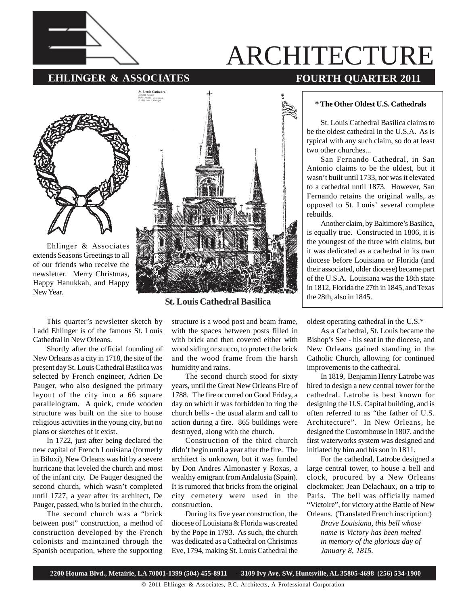

# ARCHITECTURE

# **EHLINGER & ASSOCIATES** FOURTH QUARTER 2011



Ehlinger & Associates extends Seasons Greetings to all of our friends who receive the newsletter. Merry Christmas, Happy Hanukkah, and Happy New Year.



**St. Louis Cathedral Basilica**

This quarter's newsletter sketch by Ladd Ehlinger is of the famous St. Louis Cathedral in New Orleans.

Shortly after the official founding of New Orleans as a city in 1718, the site of the present day St. Louis Cathedral Basilica was selected by French engineer, Adrien De Pauger, who also designed the primary layout of the city into a 66 square parallelogram. A quick, crude wooden structure was built on the site to house religious activities in the young city, but no plans or sketches of it exist.

In 1722, just after being declared the new capital of French Louisiana (formerly in Biloxi), New Orleans was hit by a severe hurricane that leveled the church and most of the infant city. De Pauger designed the second church, which wasn't completed until 1727, a year after its architect, De Pauger, passed, who is buried in the church.

The second church was a "brick between post" construction, a method of construction developed by the French colonists and maintained through the Spanish occupation, where the supporting

structure is a wood post and beam frame, with the spaces between posts filled in with brick and then covered either with wood siding or stucco, to protect the brick and the wood frame from the harsh humidity and rains.

The second church stood for sixty years, until the Great New Orleans Fire of 1788. The fire occurred on Good Friday, a day on which it was forbidden to ring the church bells - the usual alarm and call to action during a fire. 865 buildings were destroyed, along with the church.

Construction of the third church didn't begin until a year after the fire. The architect is unknown, but it was funded by Don Andres Almonaster y Roxas, a wealthy emigrant from Andalusia (Spain). It is rumored that bricks from the original city cemetery were used in the construction.

During its five year construction, the diocese of Louisiana & Florida was created by the Pope in 1793. As such, the church was dedicated as a Cathedral on Christmas Eve, 1794, making St. Louis Cathedral the

### **\* The Other Oldest U.S. Cathedrals**

St. Louis Cathedral Basilica claims to be the oldest cathedral in the U.S.A. As is typical with any such claim, so do at least two other churches...

San Fernando Cathedral, in San Antonio claims to be the oldest, but it wasn't built until 1733, nor was it elevated to a cathedral until 1873. However, San Fernando retains the original walls, as opposed to St. Louis' several complete rebuilds.

Another claim, by Baltimore's Basilica, is equally true. Constructed in 1806, it is the youngest of the three with claims, but it was dedicated as a cathedral in its own diocese before Louisiana or Florida (and their associated, older diocese) became part of the U.S.A. Louisiana was the 18th state in 1812, Florida the 27th in 1845, and Texas the 28th, also in 1845.

oldest operating cathedral in the U.S.\*

As a Cathedral, St. Louis became the Bishop's See - his seat in the diocese, and New Orleans gained standing in the Catholic Church, allowing for continued improvements to the cathedral.

In 1819, Benjamin Henry Latrobe was hired to design a new central tower for the cathedral. Latrobe is best known for designing the U.S. Capital building, and is often referred to as "the father of U.S. Architecture". In New Orleans, he designed the Customhouse in 1807, and the first waterworks system was designed and initiated by him and his son in 1811.

For the cathedral, Latrobe designed a large central tower, to house a bell and clock, procured by a New Orleans clockmaker, Jean Delachaux, on a trip to Paris. The bell was officially named "Victoire", for victory at the Battle of New Orleans. (Translated French inscription:)

*Brave Louisiana, this bell whose name is Victory has been melted in memory of the glorious day of January 8, 1815.*